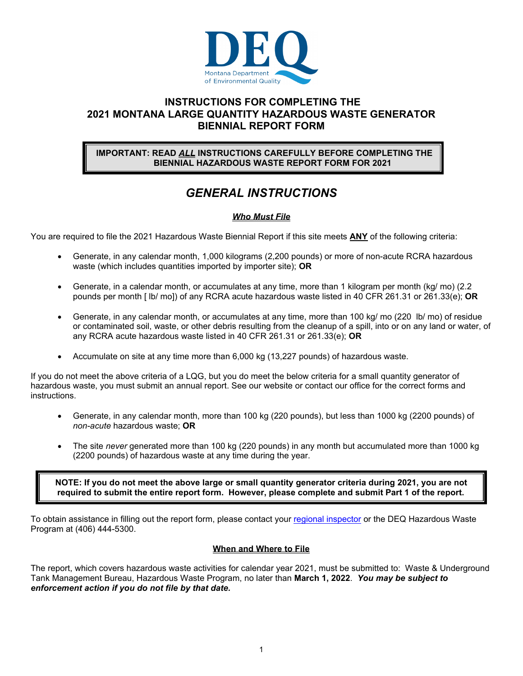

## **INSTRUCTIONS FOR COMPLETING THE 2021 MONTANA LARGE QUANTITY HAZARDOUS WASTE GENERATOR BIENNIAL REPORT FORM**

#### **IMPORTANT: READ** *ALL* **INSTRUCTIONS CAREFULLY BEFORE COMPLETING THE BIENNIAL HAZARDOUS WASTE REPORT FORM FOR 2021**

## *GENERAL INSTRUCTIONS*

## *Who Must File*

You are required to file the 2021 Hazardous Waste Biennial Report if this site meets **ANY** of the following criteria:

- Generate, in any calendar month, 1,000 kilograms (2,200 pounds) or more of non-acute RCRA hazardous waste (which includes quantities imported by importer site); **OR**
- Generate, in a calendar month, or accumulates at any time, more than 1 kilogram per month (kg/ mo) (2.2 pounds per month [ lb/ mo]) of any RCRA acute hazardous waste listed in 40 CFR 261.31 or 261.33(e); **OR**
- Generate, in any calendar month, or accumulates at any time, more than 100 kg/ mo (220 lb/ mo) of residue or contaminated soil, waste, or other debris resulting from the cleanup of a spill, into or on any land or water, of any RCRA acute hazardous waste listed in 40 CFR 261.31 or 261.33(e); **OR**
- Accumulate on site at any time more than 6,000 kg (13,227 pounds) of hazardous waste.

If you do not meet the above criteria of a LQG, but you do meet the below criteria for a small quantity generator of hazardous waste, you must submit an annual report. See our website or contact our office for the correct forms and instructions.

- Generate, in any calendar month, more than 100 kg (220 pounds), but less than 1000 kg (2200 pounds) of *non-acute* hazardous waste; **OR**
- The site *never* generated more than 100 kg (220 pounds) in any month but accumulated more than 1000 kg (2200 pounds) of hazardous waste at any time during the year.

**NOTE: If you do not meet the above large or small quantity generator criteria during 2021, you are not required to submit the entire report form. However, please complete and submit Part 1 of the report.** 

To obtain assistance in filling out the report form, please contact your regional inspector or the DEQ Hazardous Waste Program at (406) 444-5300.

#### **When and Where to File**

The report, which covers hazardous waste activities for calendar year 2021, must be submitted to: Waste & Underground Tank Management Bureau, Hazardous Waste Program, no later than **March 1, 2022**. *You may be subject to enforcement action if you do not file by that date.*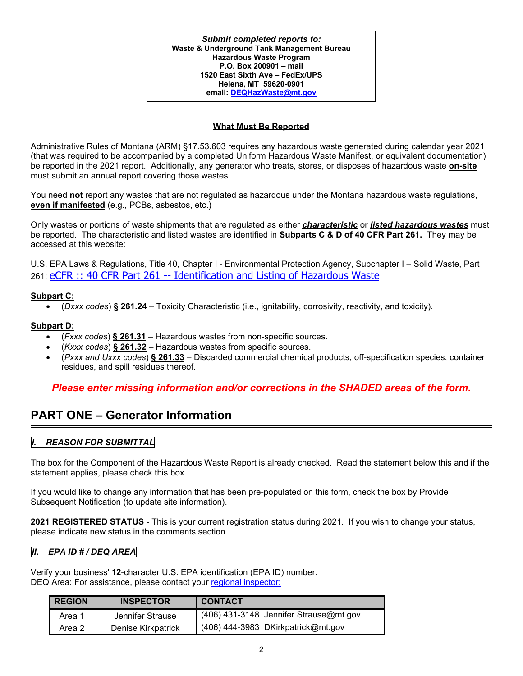*Submit completed reports to:*  **Waste & Underground Tank Management Bureau Hazardous Waste Program P.O. Box 200901 – mail 1520 East Sixth Ave – FedEx/UPS Helena, MT 59620-0901 email: DEQHazWaste@mt.gov**

### **What Must Be Reported**

Administrative Rules of Montana (ARM) §17.53.603 requires any hazardous waste generated during calendar year 2021 (that was required to be accompanied by a completed Uniform Hazardous Waste Manifest, or equivalent documentation) be reported in the 2021 report. Additionally, any generator who treats, stores, or disposes of hazardous waste **on-site** must submit an annual report covering those wastes.

You need **not** report any wastes that are not regulated as hazardous under the Montana hazardous waste regulations, **even if manifested** (e.g., PCBs, asbestos, etc.)

Only wastes or portions of waste shipments that are regulated as either *characteristic* or *listed hazardous wastes* must be reported. The characteristic and listed wastes are identified in **Subparts C & D of 40 CFR Part 261.** They may be accessed at this website:

U.S. EPA Laws & Regulations, Title 40, Chapter I - Environmental Protection Agency, Subchapter I – Solid Waste, Part 261: eCFR :: 40 CFR Part 261 -- Identification and Listing of Hazardous Waste

#### **Subpart C:**

(*Dxxx codes*) **§ 261.24** – Toxicity Characteristic (i.e., ignitability, corrosivity, reactivity, and toxicity).

#### **Subpart D:**

- (*Fxxx codes*) **§ 261.31** Hazardous wastes from non-specific sources.
- (*Kxxx codes*) **§ 261.32**  Hazardous wastes from specific sources.
- (*Pxxx and Uxxx codes*) **§ 261.33**  Discarded commercial chemical products, off-specification species, container residues, and spill residues thereof.

## *Please enter missing information and/or corrections in the SHADED areas of the form.*

## **PART ONE – Generator Information**

## *I. REASON FOR SUBMITTAL*

The box for the Component of the Hazardous Waste Report is already checked. Read the statement below this and if the statement applies, please check this box.

If you would like to change any information that has been pre-populated on this form, check the box by Provide Subsequent Notification (to update site information).

**2021 REGISTERED STATUS** - This is your current registration status during 2021. If you wish to change your status, please indicate new status in the comments section.

#### *II. EPA ID # / DEQ AREA*

Verify your business' **12**-character U.S. EPA identification (EPA ID) number. DEQ Area: For assistance, please contact your regional inspector:

| <b>REGION</b> | <b>INSPECTOR</b>   | <b>CONTACT</b>                         |
|---------------|--------------------|----------------------------------------|
| Area          | Jennifer Strause   | (406) 431-3148 Jennifer.Strause@mt.gov |
| Area 2        | Denise Kirkpatrick | $(406)$ 444-3983 DKirkpatrick@mt.gov   |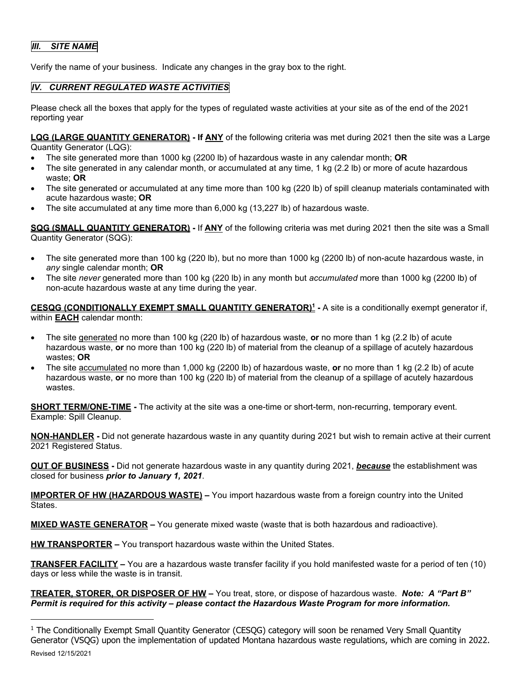## *III. SITE NAME*

Verify the name of your business. Indicate any changes in the gray box to the right.

## *IV. CURRENT REGULATED WASTE ACTIVITIES*

Please check all the boxes that apply for the types of regulated waste activities at your site as of the end of the 2021 reporting year

**LQG (LARGE QUANTITY GENERATOR) - If ANY** of the following criteria was met during 2021 then the site was a Large

Quantity Generator (LQG):

- The site generated more than 1000 kg (2200 lb) of hazardous waste in any calendar month; **OR**
- The site generated in any calendar month, or accumulated at any time, 1 kg (2.2 lb) or more of acute hazardous waste; **OR**
- The site generated or accumulated at any time more than 100 kg (220 lb) of spill cleanup materials contaminated with acute hazardous waste; **OR**
- The site accumulated at any time more than 6,000 kg (13,227 lb) of hazardous waste.

**SQG (SMALL QUANTITY GENERATOR) -** If **ANY** of the following criteria was met during 2021 then the site was a Small Quantity Generator (SQG):

- The site generated more than 100 kg (220 lb), but no more than 1000 kg (2200 lb) of non-acute hazardous waste, in *any* single calendar month; **OR**
- The site *never* generated more than 100 kg (220 lb) in any month but *accumulated* more than 1000 kg (2200 lb) of non-acute hazardous waste at any time during the year.

**CESQG (CONDITIONALLY EXEMPT SMALL QUANTITY GENERATOR)1 -** A site is a conditionally exempt generator if, within **EACH** calendar month:

- The site generated no more than 100 kg (220 lb) of hazardous waste, **or** no more than 1 kg (2.2 lb) of acute hazardous waste, **or** no more than 100 kg (220 lb) of material from the cleanup of a spillage of acutely hazardous wastes; **OR**
- The site accumulated no more than 1,000 kg (2200 lb) of hazardous waste, **or** no more than 1 kg (2.2 lb) of acute hazardous waste, **or** no more than 100 kg (220 lb) of material from the cleanup of a spillage of acutely hazardous wastes.

**SHORT TERM/ONE-TIME** - The activity at the site was a one-time or short-term, non-recurring, temporary event. Example: Spill Cleanup.

**NON-HANDLER -** Did not generate hazardous waste in any quantity during 2021 but wish to remain active at their current 2021 Registered Status.

**OUT OF BUSINESS -** Did not generate hazardous waste in any quantity during 2021, *because* the establishment was closed for business *prior to January 1, 2021*.

**IMPORTER OF HW (HAZARDOUS WASTE) –** You import hazardous waste from a foreign country into the United States.

**MIXED WASTE GENERATOR –** You generate mixed waste (waste that is both hazardous and radioactive).

**HW TRANSPORTER –** You transport hazardous waste within the United States.

**TRANSFER FACILITY –** You are a hazardous waste transfer facility if you hold manifested waste for a period of ten (10) days or less while the waste is in transit.

**TREATER, STORER, OR DISPOSER OF HW –** You treat, store, or dispose of hazardous waste. *Note: A "Part B" Permit is required for this activity – please contact the Hazardous Waste Program for more information.*

Revised 12/15/2021 <sup>1</sup> The Conditionally Exempt Small Quantity Generator (CESQG) category will soon be renamed Very Small Quantity Generator (VSQG) upon the implementation of updated Montana hazardous waste regulations, which are coming in 2022.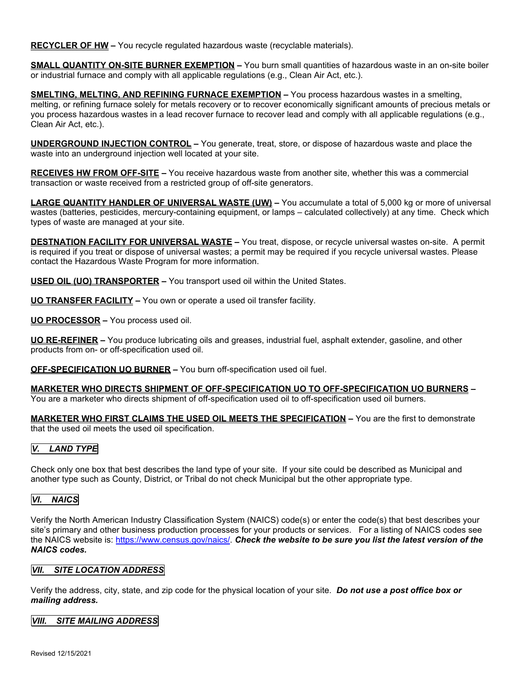**RECYCLER OF HW –** You recycle regulated hazardous waste (recyclable materials).

**SMALL QUANTITY ON-SITE BURNER EXEMPTION –** You burn small quantities of hazardous waste in an on-site boiler or industrial furnace and comply with all applicable regulations (e.g., Clean Air Act, etc.).

**SMELTING, MELTING, AND REFINING FURNACE EXEMPTION –** You process hazardous wastes in a smelting, melting, or refining furnace solely for metals recovery or to recover economically significant amounts of precious metals or you process hazardous wastes in a lead recover furnace to recover lead and comply with all applicable regulations (e.g., Clean Air Act, etc.).

**UNDERGROUND INJECTION CONTROL –** You generate, treat, store, or dispose of hazardous waste and place the waste into an underground injection well located at your site.

**RECEIVES HW FROM OFF-SITE –** You receive hazardous waste from another site, whether this was a commercial transaction or waste received from a restricted group of off-site generators.

**LARGE QUANTITY HANDLER OF UNIVERSAL WASTE (UW) –** You accumulate a total of 5,000 kg or more of universal wastes (batteries, pesticides, mercury-containing equipment, or lamps – calculated collectively) at any time. Check which types of waste are managed at your site.

**DESTNATION FACILITY FOR UNIVERSAL WASTE –** You treat, dispose, or recycle universal wastes on-site. A permit is required if you treat or dispose of universal wastes; a permit may be required if you recycle universal wastes. Please contact the Hazardous Waste Program for more information.

**USED OIL (UO) TRANSPORTER –** You transport used oil within the United States.

**UO TRANSFER FACILITY –** You own or operate a used oil transfer facility.

**UO PROCESSOR –** You process used oil.

**UO RE-REFINER –** You produce lubricating oils and greases, industrial fuel, asphalt extender, gasoline, and other products from on- or off-specification used oil.

**OFF-SPECIFICATION UO BURNER –** You burn off-specification used oil fuel.

**MARKETER WHO DIRECTS SHIPMENT OF OFF-SPECIFICATION UO TO OFF-SPECIFICATION UO BURNERS –**  You are a marketer who directs shipment of off-specification used oil to off-specification used oil burners.

**MARKETER WHO FIRST CLAIMS THE USED OIL MEETS THE SPECIFICATION –** You are the first to demonstrate that the used oil meets the used oil specification.

## *V. LAND TYPE*

Check only one box that best describes the land type of your site. If your site could be described as Municipal and another type such as County, District, or Tribal do not check Municipal but the other appropriate type.

## *VI. NAICS*

Verify the North American Industry Classification System (NAICS) code(s) or enter the code(s) that best describes your site's primary and other business production processes for your products or services. For a listing of NAICS codes see the NAICS website is: https://www.census.gov/naics/. *Check the website to be sure you list the latest version of the NAICS codes.*

#### *VII. SITE LOCATION ADDRESS*

Verify the address, city, state, and zip code for the physical location of your site. *Do not use a post office box or mailing address.*

#### *VIII. SITE MAILING ADDRESS*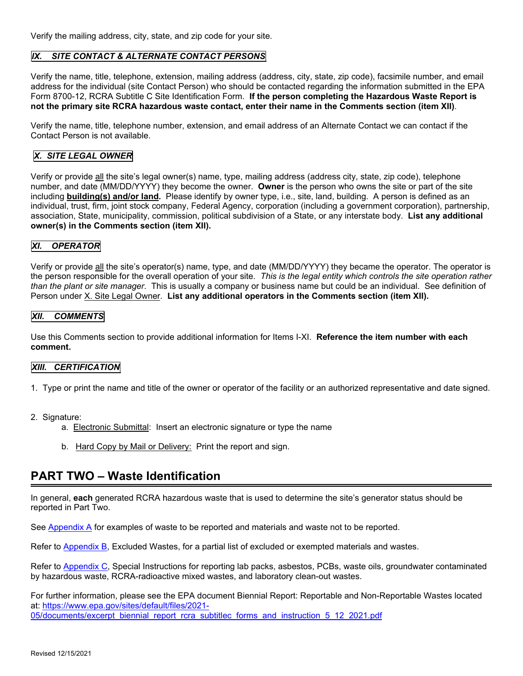Verify the mailing address, city, state, and zip code for your site.

#### *IX. SITE CONTACT & ALTERNATE CONTACT PERSONS*

Verify the name, title, telephone, extension, mailing address (address, city, state, zip code), facsimile number, and email address for the individual (site Contact Person) who should be contacted regarding the information submitted in the EPA Form 8700-12, RCRA Subtitle C Site Identification Form. **If the person completing the Hazardous Waste Report is not the primary site RCRA hazardous waste contact, enter their name in the Comments section (item XII)**.

Verify the name, title, telephone number, extension, and email address of an Alternate Contact we can contact if the Contact Person is not available.

#### *X. SITE LEGAL OWNER*

Verify or provide all the site's legal owner(s) name, type, mailing address (address city, state, zip code), telephone number, and date (MM/DD/YYYY) they become the owner. **Owner** is the person who owns the site or part of the site including **building(s) and/or land***.* Please identify by owner type, i.e., site, land, building. A person is defined as an individual, trust, firm, joint stock company, Federal Agency, corporation (including a government corporation), partnership, association, State, municipality, commission, political subdivision of a State, or any interstate body. **List any additional owner(s) in the Comments section (item XII).**

#### *XI. OPERATOR*

Verify or provide all the site's operator(s) name, type, and date (MM/DD/YYYY) they became the operator. The operator is the person responsible for the overall operation of your site. *This is the legal entity which controls the site operation rather than the plant or site manager*. This is usually a company or business name but could be an individual. See definition of Person under X. Site Legal Owner. **List any additional operators in the Comments section (item XII).**

#### *XII. COMMENTS*

Use this Comments section to provide additional information for Items I-XI. **Reference the item number with each comment.**

#### *XIII. CERTIFICATION*

- 1. Type or print the name and title of the owner or operator of the facility or an authorized representative and date signed.
- 2. Signature:
	- a. Electronic Submittal: Insert an electronic signature or type the name
	- b. Hard Copy by Mail or Delivery: Print the report and sign.

## **PART TWO – Waste Identification**

In general, **each** generated RCRA hazardous waste that is used to determine the site's generator status should be reported in Part Two.

See Appendix A for examples of waste to be reported and materials and waste not to be reported.

Refer to Appendix B, Excluded Wastes, for a partial list of excluded or exempted materials and wastes.

Refer to Appendix C, Special Instructions for reporting lab packs, asbestos, PCBs, waste oils, groundwater contaminated by hazardous waste, RCRA-radioactive mixed wastes, and laboratory clean-out wastes.

For further information, please see the EPA document Biennial Report: Reportable and Non-Reportable Wastes located at: https://www.epa.gov/sites/default/files/2021- 05/documents/excerpt\_biennial\_report\_rcra\_subtitlec\_forms\_and\_instruction\_5\_12\_2021.pdf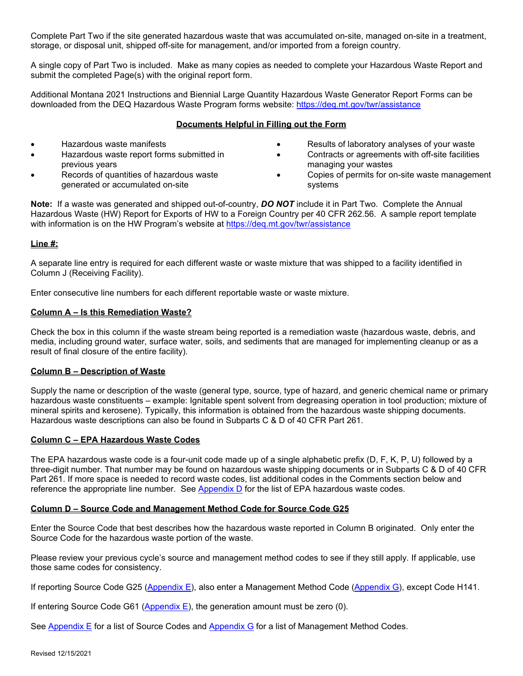Complete Part Two if the site generated hazardous waste that was accumulated on-site, managed on-site in a treatment, storage, or disposal unit, shipped off-site for management, and/or imported from a foreign country.

A single copy of Part Two is included. Make as many copies as needed to complete your Hazardous Waste Report and submit the completed Page(s) with the original report form.

Additional Montana 2021 Instructions and Biennial Large Quantity Hazardous Waste Generator Report Forms can be downloaded from the DEQ Hazardous Waste Program forms website: https://deq.mt.gov/twr/assistance

#### **Documents Helpful in Filling out the Form**

- Hazardous waste manifests
- Hazardous waste report forms submitted in previous years
- Records of quantities of hazardous waste generated or accumulated on-site
- Results of laboratory analyses of your waste
- Contracts or agreements with off-site facilities managing your wastes
- Copies of permits for on-site waste management systems

**Note:** If a waste was generated and shipped out-of-country, *DO NOT* include it in Part Two. Complete the Annual Hazardous Waste (HW) Report for Exports of HW to a Foreign Country per 40 CFR 262.56. A sample report template with information is on the HW Program's website at https://deq.mt.gov/twr/assistance

#### **Line #:**

A separate line entry is required for each different waste or waste mixture that was shipped to a facility identified in Column J (Receiving Facility).

Enter consecutive line numbers for each different reportable waste or waste mixture.

#### **Column A – Is this Remediation Waste?**

Check the box in this column if the waste stream being reported is a remediation waste (hazardous waste, debris, and media, including ground water, surface water, soils, and sediments that are managed for implementing cleanup or as a result of final closure of the entire facility).

#### **Column B – Description of Waste**

Supply the name or description of the waste (general type, source, type of hazard, and generic chemical name or primary hazardous waste constituents – example: Ignitable spent solvent from degreasing operation in tool production; mixture of mineral spirits and kerosene). Typically, this information is obtained from the hazardous waste shipping documents. Hazardous waste descriptions can also be found in Subparts C & D of 40 CFR Part 261.

#### **Column C – EPA Hazardous Waste Codes**

The EPA hazardous waste code is a four-unit code made up of a single alphabetic prefix (D, F, K, P, U) followed by a three-digit number. That number may be found on hazardous waste shipping documents or in Subparts C & D of 40 CFR Part 261. If more space is needed to record waste codes, list additional codes in the Comments section below and reference the appropriate line number. See Appendix D for the list of EPA hazardous waste codes.

#### **Column D – Source Code and Management Method Code for Source Code G25**

Enter the Source Code that best describes how the hazardous waste reported in Column B originated. Only enter the Source Code for the hazardous waste portion of the waste.

Please review your previous cycle's source and management method codes to see if they still apply. If applicable, use those same codes for consistency.

If reporting Source Code G25 (Appendix E), also enter a Management Method Code (Appendix G), except Code H141.

If entering Source Code G61 (Appendix E), the generation amount must be zero (0).

See Appendix E for a list of Source Codes and Appendix G for a list of Management Method Codes.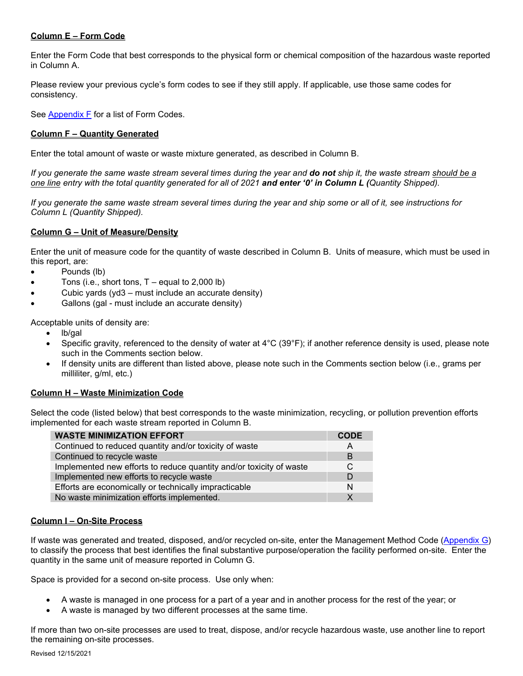#### **Column E – Form Code**

Enter the Form Code that best corresponds to the physical form or chemical composition of the hazardous waste reported in Column A.

Please review your previous cycle's form codes to see if they still apply. If applicable, use those same codes for consistency.

See Appendix F for a list of Form Codes.

#### **Column F – Quantity Generated**

Enter the total amount of waste or waste mixture generated, as described in Column B.

*If you generate the same waste stream several times during the year and do not ship it, the waste stream should be a one line entry with the total quantity generated for all of 2021 and enter '0' in Column L (Quantity Shipped).* 

*If you generate the same waste stream several times during the year and ship some or all of it, see instructions for Column L (Quantity Shipped).* 

#### **Column G – Unit of Measure/Density**

Enter the unit of measure code for the quantity of waste described in Column B. Units of measure, which must be used in this report, are:

- Pounds (lb)
- $\bullet$  Tons (i.e., short tons, T equal to 2,000 lb)
- Cubic yards (yd3 must include an accurate density)
- Gallons (gal must include an accurate density)

Acceptable units of density are:

- lb/gal
- Specific gravity, referenced to the density of water at 4°C (39°F); if another reference density is used, please note such in the Comments section below.
- If density units are different than listed above, please note such in the Comments section below (i.e., grams per milliliter, g/ml, etc.)

#### **Column H – Waste Minimization Code**

Select the code (listed below) that best corresponds to the waste minimization, recycling, or pollution prevention efforts implemented for each waste stream reported in Column B.

| <b>WASTE MINIMIZATION EFFORT</b>                                    | <b>CODE</b>  |
|---------------------------------------------------------------------|--------------|
| Continued to reduced quantity and/or toxicity of waste              | A            |
| Continued to recycle waste                                          | B            |
| Implemented new efforts to reduce quantity and/or toxicity of waste | <sup>C</sup> |
| Implemented new efforts to recycle waste                            | D            |
| Efforts are economically or technically impracticable               | N            |
| No waste minimization efforts implemented.                          | x            |

#### **Column I – On-Site Process**

If waste was generated and treated, disposed, and/or recycled on-site, enter the Management Method Code (Appendix G) to classify the process that best identifies the final substantive purpose/operation the facility performed on-site. Enter the quantity in the same unit of measure reported in Column G.

Space is provided for a second on-site process. Use only when:

- A waste is managed in one process for a part of a year and in another process for the rest of the year; or
- A waste is managed by two different processes at the same time.

If more than two on-site processes are used to treat, dispose, and/or recycle hazardous waste, use another line to report the remaining on-site processes.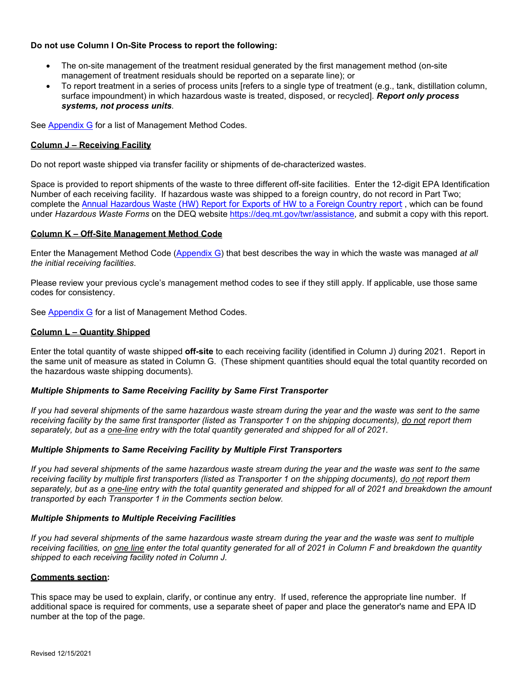#### **Do not use Column I On-Site Process to report the following:**

- The on-site management of the treatment residual generated by the first management method (on-site management of treatment residuals should be reported on a separate line); or
- To report treatment in a series of process units [refers to a single type of treatment (e.g., tank, distillation column, surface impoundment) in which hazardous waste is treated, disposed, or recycled]. *Report only process systems, not process units*.

See Appendix G for a list of Management Method Codes.

#### **Column J – Receiving Facility**

Do not report waste shipped via transfer facility or shipments of de-characterized wastes.

Space is provided to report shipments of the waste to three different off-site facilities. Enter the 12-digit EPA Identification Number of each receiving facility. If hazardous waste was shipped to a foreign country, do not record in Part Two; complete the Annual Hazardous Waste (HW) Report for Exports of HW to a Foreign Country report , which can be found under *Hazardous Waste Forms* on the DEQ website https://deq.mt.gov/twr/assistance, and submit a copy with this report.

#### **Column K – Off-Site Management Method Code**

Enter the Management Method Code (Appendix G) that best describes the way in which the waste was managed *at all the initial receiving facilities*.

Please review your previous cycle's management method codes to see if they still apply. If applicable, use those same codes for consistency.

See Appendix G for a list of Management Method Codes.

#### **Column L – Quantity Shipped**

Enter the total quantity of waste shipped **off-site** to each receiving facility (identified in Column J) during 2021. Report in the same unit of measure as stated in Column G. (These shipment quantities should equal the total quantity recorded on the hazardous waste shipping documents).

#### *Multiple Shipments to Same Receiving Facility by Same First Transporter*

*If you had several shipments of the same hazardous waste stream during the year and the waste was sent to the same receiving facility by the same first transporter (listed as Transporter 1 on the shipping documents), do not report them separately, but as a one-line entry with the total quantity generated and shipped for all of 2021.* 

#### *Multiple Shipments to Same Receiving Facility by Multiple First Transporters*

*If you had several shipments of the same hazardous waste stream during the year and the waste was sent to the same receiving facility by multiple first transporters (listed as Transporter 1 on the shipping documents), do not report them separately, but as a one-line entry with the total quantity generated and shipped for all of 2021 and breakdown the amount transported by each Transporter 1 in the Comments section below.* 

#### *Multiple Shipments to Multiple Receiving Facilities*

*If you had several shipments of the same hazardous waste stream during the year and the waste was sent to multiple receiving facilities, on one line enter the total quantity generated for all of 2021 in Column F and breakdown the quantity shipped to each receiving facility noted in Column J.* 

#### **Comments section:**

This space may be used to explain, clarify, or continue any entry. If used, reference the appropriate line number. If additional space is required for comments, use a separate sheet of paper and place the generator's name and EPA ID number at the top of the page.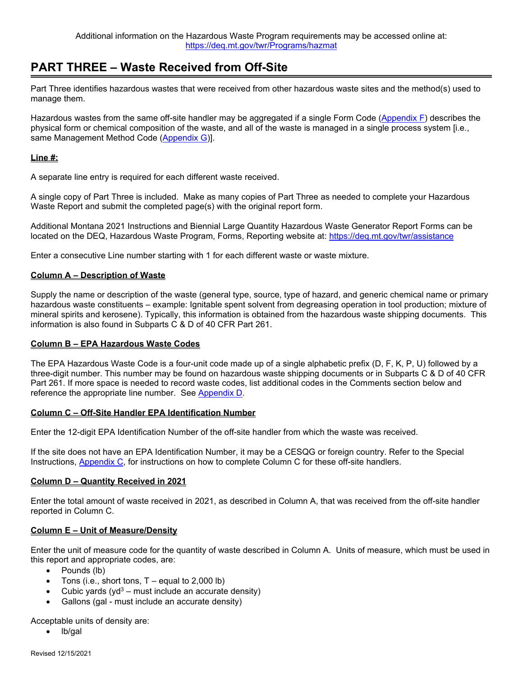## **PART THREE – Waste Received from Off-Site**

Part Three identifies hazardous wastes that were received from other hazardous waste sites and the method(s) used to manage them.

Hazardous wastes from the same off-site handler may be aggregated if a single Form Code (Appendix F) describes the physical form or chemical composition of the waste, and all of the waste is managed in a single process system [i.e., same Management Method Code (Appendix G)].

#### **Line #:**

A separate line entry is required for each different waste received.

A single copy of Part Three is included. Make as many copies of Part Three as needed to complete your Hazardous Waste Report and submit the completed page(s) with the original report form.

Additional Montana 2021 Instructions and Biennial Large Quantity Hazardous Waste Generator Report Forms can be located on the DEQ, Hazardous Waste Program, Forms, Reporting website at: https://deq.mt.gov/twr/assistance

Enter a consecutive Line number starting with 1 for each different waste or waste mixture.

#### **Column A – Description of Waste**

Supply the name or description of the waste (general type, source, type of hazard, and generic chemical name or primary hazardous waste constituents – example: Ignitable spent solvent from degreasing operation in tool production; mixture of mineral spirits and kerosene). Typically, this information is obtained from the hazardous waste shipping documents. This information is also found in Subparts C & D of 40 CFR Part 261.

#### **Column B – EPA Hazardous Waste Codes**

The EPA Hazardous Waste Code is a four-unit code made up of a single alphabetic prefix (D, F, K, P, U) followed by a three-digit number. This number may be found on hazardous waste shipping documents or in Subparts C & D of 40 CFR Part 261. If more space is needed to record waste codes, list additional codes in the Comments section below and reference the appropriate line number. See Appendix D.

#### **Column C – Off-Site Handler EPA Identification Number**

Enter the 12-digit EPA Identification Number of the off-site handler from which the waste was received.

If the site does not have an EPA Identification Number, it may be a CESQG or foreign country. Refer to the Special Instructions, Appendix C, for instructions on how to complete Column C for these off-site handlers.

#### **Column D – Quantity Received in 2021**

Enter the total amount of waste received in 2021, as described in Column A, that was received from the off-site handler reported in Column C.

#### **Column E – Unit of Measure/Density**

Enter the unit of measure code for the quantity of waste described in Column A. Units of measure, which must be used in this report and appropriate codes, are:

- Pounds (lb)
- Tons (i.e., short tons,  $T -$  equal to 2,000 lb)
- Cubic yards ( $yd<sup>3</sup>$  must include an accurate density)
- Gallons (gal must include an accurate density)

Acceptable units of density are:

lb/gal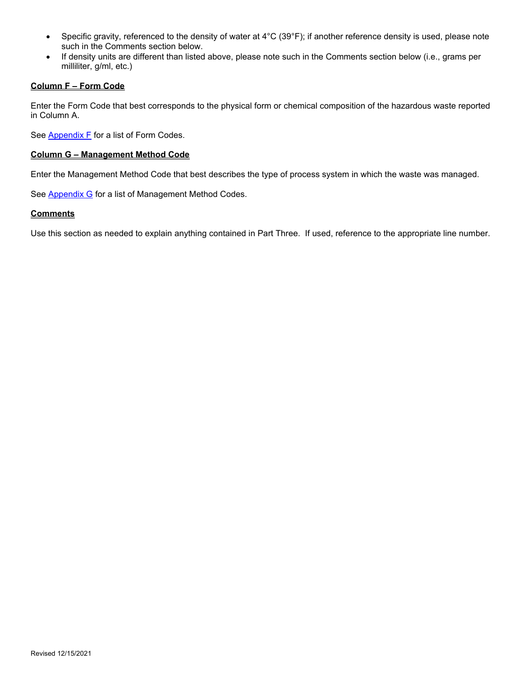- Specific gravity, referenced to the density of water at 4°C (39°F); if another reference density is used, please note such in the Comments section below.
- If density units are different than listed above, please note such in the Comments section below (i.e., grams per milliliter, g/ml, etc.)

#### **Column F – Form Code**

Enter the Form Code that best corresponds to the physical form or chemical composition of the hazardous waste reported in Column A.

See **Appendix F** for a list of Form Codes.

#### **Column G – Management Method Code**

Enter the Management Method Code that best describes the type of process system in which the waste was managed.

See **Appendix G** for a list of Management Method Codes.

#### **Comments**

Use this section as needed to explain anything contained in Part Three. If used, reference to the appropriate line number.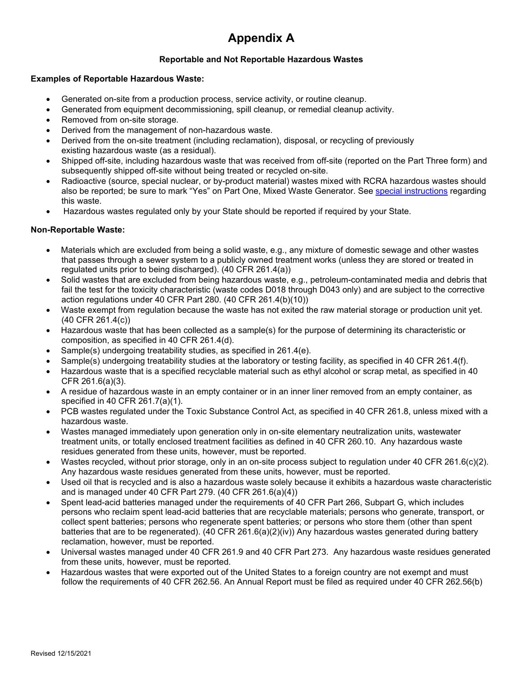# **Appendix A**

## **Reportable and Not Reportable Hazardous Wastes**

#### **Examples of Reportable Hazardous Waste:**

- Generated on-site from a production process, service activity, or routine cleanup.
- Generated from equipment decommissioning, spill cleanup, or remedial cleanup activity.
- Removed from on-site storage.
- Derived from the management of non-hazardous waste.
- Derived from the on-site treatment (including reclamation), disposal, or recycling of previously existing hazardous waste (as a residual).
- Shipped off-site, including hazardous waste that was received from off-site (reported on the Part Three form) and subsequently shipped off-site without being treated or recycled on-site.
- Radioactive (source, special nuclear, or by-product material) wastes mixed with RCRA hazardous wastes should also be reported; be sure to mark "Yes" on Part One, Mixed Waste Generator. See special instructions regarding this waste.
- Hazardous wastes regulated only by your State should be reported if required by your State.

#### **Non-Reportable Waste:**

- Materials which are excluded from being a solid waste, e.g., any mixture of domestic sewage and other wastes that passes through a sewer system to a publicly owned treatment works (unless they are stored or treated in regulated units prior to being discharged). (40 CFR 261.4(a))
- Solid wastes that are excluded from being hazardous waste, e.g., petroleum-contaminated media and debris that fail the test for the toxicity characteristic (waste codes D018 through D043 only) and are subject to the corrective action regulations under 40 CFR Part 280. (40 CFR 261.4(b)(10))
- Waste exempt from regulation because the waste has not exited the raw material storage or production unit yet. (40 CFR 261.4(c))
- Hazardous waste that has been collected as a sample(s) for the purpose of determining its characteristic or composition, as specified in 40 CFR 261.4(d).
- Sample(s) undergoing treatability studies, as specified in 261.4(e).
- Sample(s) undergoing treatability studies at the laboratory or testing facility, as specified in 40 CFR 261.4(f).
- Hazardous waste that is a specified recyclable material such as ethyl alcohol or scrap metal, as specified in 40 CFR 261.6(a)(3).
- A residue of hazardous waste in an empty container or in an inner liner removed from an empty container, as specified in 40 CFR 261.7(a)(1).
- PCB wastes regulated under the Toxic Substance Control Act, as specified in 40 CFR 261.8, unless mixed with a hazardous waste.
- Wastes managed immediately upon generation only in on-site elementary neutralization units, wastewater treatment units, or totally enclosed treatment facilities as defined in 40 CFR 260.10. Any hazardous waste residues generated from these units, however, must be reported.
- Wastes recycled, without prior storage, only in an on-site process subject to regulation under 40 CFR 261.6(c)(2). Any hazardous waste residues generated from these units, however, must be reported.
- Used oil that is recycled and is also a hazardous waste solely because it exhibits a hazardous waste characteristic and is managed under 40 CFR Part 279. (40 CFR 261.6(a)(4))
- Spent lead-acid batteries managed under the requirements of 40 CFR Part 266, Subpart G, which includes persons who reclaim spent lead-acid batteries that are recyclable materials; persons who generate, transport, or collect spent batteries; persons who regenerate spent batteries; or persons who store them (other than spent batteries that are to be regenerated). (40 CFR 261.6(a)(2)(iv)) Any hazardous wastes generated during battery reclamation, however, must be reported.
- Universal wastes managed under 40 CFR 261.9 and 40 CFR Part 273. Any hazardous waste residues generated from these units, however, must be reported.
- Hazardous wastes that were exported out of the United States to a foreign country are not exempt and must follow the requirements of 40 CFR 262.56. An Annual Report must be filed as required under 40 CFR 262.56(b)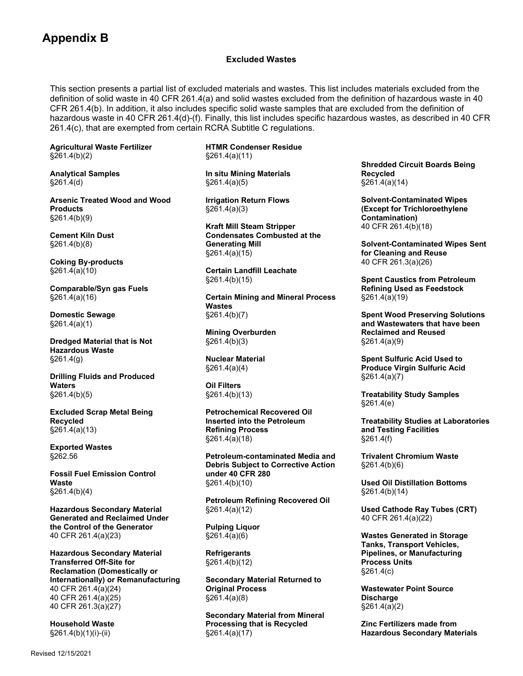## **Appendix B**

#### **Excluded Wastes**

This section presents a partial list of excluded materials and wastes. This list includes materials excluded from the definition of solid waste in 40 CFR 261.4(a) and solid wastes excluded from the definition of hazardous waste in 40 CFR 261.4(b). In addition, it also includes specific solid waste samples that are excluded from the definition of hazardous waste in 40 CFR 261.4(d)-(f). Finally, this list includes specific hazardous wastes, as described in 40 CFR 261.4(c), that are exempted from certain RCRA Subtitle C regulations.

**Agricultural Waste Fertilizer**  §261.4(b)(2)

**Analytical Samples**  §261.4(d)

**Arsenic Treated Wood and Wood Products**  §261.4(b)(9)

**Cement Kiln Dust**  §261.4(b)(8)

**Coking By-products**  §261.4(a)(10)

**Comparable/Syn gas Fuels**  §261.4(a)(16)

**Domestic Sewage**  §261.4(a)(1)

**Dredged Material that is Not Hazardous Waste**  §261.4(g)

**Drilling Fluids and Produced Waters**  §261.4(b)(5)

**Excluded Scrap Metal Being Recycled**  §261.4(a)(13)

**Exported Wastes**  §262.56

**Fossil Fuel Emission Control Waste**  §261.4(b)(4)

**Hazardous Secondary Material Generated and Reclaimed Under the Control of the Generator**  40 CFR 261.4(a)(23)

**Hazardous Secondary Material Transferred Off-Site for Reclamation (Domestically or Internationally) or Remanufacturing**  40 CFR 261.4(a)(24) 40 CFR 261.4(a)(25) 40 CFR 261.3(a)(27)

**Household Waste**  §261.4(b)(1)(i)-(ii)

**HTMR Condenser Residue**  §261.4(a)(11)

**In situ Mining Materials**  §261.4(a)(5)

**Irrigation Return Flows**  §261.4(a)(3)

**Kraft Mill Steam Stripper Condensates Combusted at the Generating Mill**  §261.4(a)(15)

**Certain Landfill Leachate**  §261.4(b)(15)

**Certain Mining and Mineral Process Wastes**  §261.4(b)(7)

**Mining Overburden**  §261.4(b)(3)

**Nuclear Material**  §261.4(a)(4)

**Oil Filters**  §261.4(b)(13)

**Petrochemical Recovered Oil Inserted into the Petroleum Refining Process**  §261.4(a)(18)

**Petroleum-contaminated Media and Debris Subject to Corrective Action under 40 CFR 280**  §261.4(b)(10)

**Petroleum Refining Recovered Oil**  §261.4(a)(12)

**Pulping Liquor**  §261.4(a)(6)

**Refrigerants**  §261.4(b)(12)

**Secondary Material Returned to Original Process**  §261.4(a)(8)

**Secondary Material from Mineral Processing that is Recycled**  §261.4(a)(17)

**Shredded Circuit Boards Being Recycled**  §261.4(a)(14)

**Solvent-Contaminated Wipes (Except for Trichloroethylene Contamination)**  40 CFR 261.4(b)(18)

**Solvent-Contaminated Wipes Sent for Cleaning and Reuse**  40 CFR 261.3(a)(26)

**Spent Caustics from Petroleum Refining Used as Feedstock**  §261.4(a)(19)

**Spent Wood Preserving Solutions and Wastewaters that have been Reclaimed and Reused**  §261.4(a)(9)

**Spent Sulfuric Acid Used to Produce Virgin Sulfuric Acid**  §261.4(a)(7)

**Treatability Study Samples**  §261.4(e)

**Treatability Studies at Laboratories and Testing Facilities**  §261.4(f)

**Trivalent Chromium Waste**  §261.4(b)(6)

**Used Oil Distillation Bottoms**  §261.4(b)(14)

**Used Cathode Ray Tubes (CRT)**  40 CFR 261.4(a)(22)

**Wastes Generated in Storage Tanks, Transport Vehicles, Pipelines, or Manufacturing Process Units**  §261.4(c)

**Wastewater Point Source Discharge**  §261.4(a)(2)

**Zinc Fertilizers made from Hazardous Secondary Materials**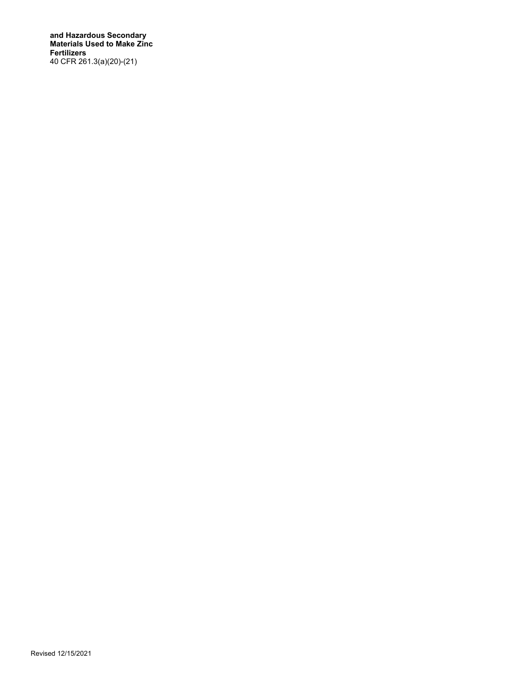**and Hazardous Secondary Materials Used to Make Zinc Fertilizers**  40 CFR 261.3(a)(20)-(21)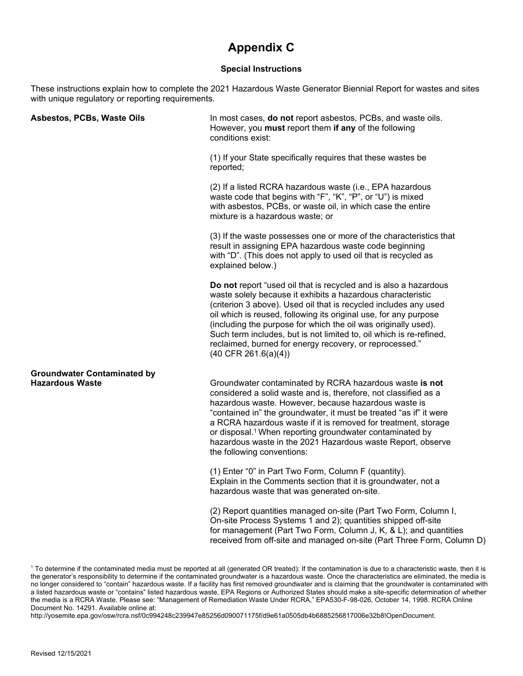## **Appendix C**

#### **Special Instructions**

These instructions explain how to complete the 2021 Hazardous Waste Generator Biennial Report for wastes and sites with unique regulatory or reporting requirements.

| In most cases, do not report asbestos, PCBs, and waste oils.<br>However, you must report them if any of the following<br>conditions exist:                                                                                                                                                                                                                                                                                                                                                            |
|-------------------------------------------------------------------------------------------------------------------------------------------------------------------------------------------------------------------------------------------------------------------------------------------------------------------------------------------------------------------------------------------------------------------------------------------------------------------------------------------------------|
| (1) If your State specifically requires that these wastes be<br>reported;                                                                                                                                                                                                                                                                                                                                                                                                                             |
| (2) If a listed RCRA hazardous waste (i.e., EPA hazardous<br>waste code that begins with "F", "K", "P", or "U") is mixed<br>with asbestos, PCBs, or waste oil, in which case the entire<br>mixture is a hazardous waste; or                                                                                                                                                                                                                                                                           |
| (3) If the waste possesses one or more of the characteristics that<br>result in assigning EPA hazardous waste code beginning<br>with "D". (This does not apply to used oil that is recycled as<br>explained below.)                                                                                                                                                                                                                                                                                   |
| Do not report "used oil that is recycled and is also a hazardous<br>waste solely because it exhibits a hazardous characteristic<br>(criterion 3 above). Used oil that is recycled includes any used<br>oil which is reused, following its original use, for any purpose<br>(including the purpose for which the oil was originally used).<br>Such term includes, but is not limited to, oil which is re-refined,<br>reclaimed, burned for energy recovery, or reprocessed."<br>$(40$ CFR 261.6(a)(4)) |
| Groundwater contaminated by RCRA hazardous waste is not<br>considered a solid waste and is, therefore, not classified as a<br>hazardous waste. However, because hazardous waste is<br>"contained in" the groundwater, it must be treated "as if" it were<br>a RCRA hazardous waste if it is removed for treatment, storage<br>or disposal. <sup>1</sup> When reporting groundwater contaminated by<br>hazardous waste in the 2021 Hazardous waste Report, observe<br>the following conventions:       |
| (1) Enter "0" in Part Two Form, Column F (quantity).<br>Explain in the Comments section that it is groundwater, not a<br>hazardous waste that was generated on-site.                                                                                                                                                                                                                                                                                                                                  |
| (2) Report quantities managed on-site (Part Two Form, Column I,<br>On-site Process Systems 1 and 2); quantities shipped off-site<br>for management (Part Two Form, Column J, K, & L); and quantities<br>received from off-site and managed on-site (Part Three Form, Column D)                                                                                                                                                                                                                        |
|                                                                                                                                                                                                                                                                                                                                                                                                                                                                                                       |

 $^{\rm 1}$  To determine if the contaminated media must be reported at all (generated OR treated): If the contamination is due to a characteristic waste, then it is the generator's responsibility to determine if the contaminated groundwater is a hazardous waste. Once the characteristics are eliminated, the media is no longer considered to "contain" hazardous waste. If a facility has first removed groundwater and is claiming that the groundwater is contaminated with a listed hazardous waste or "contains" listed hazardous waste, EPA Regions or Authorized States should make a site-specific determination of whether the media is a RCRA Waste. Please see: "Management of Remediation Waste Under RCRA," EPA530-F-98-026, October 14, 1998. RCRA Online Document No. 14291. Available online at:

http://yosemite.epa.gov/osw/rcra.nsf/0c994248c239947e85256d090071175f/d9e61a0505db4b6885256817006e32b8!OpenDocument.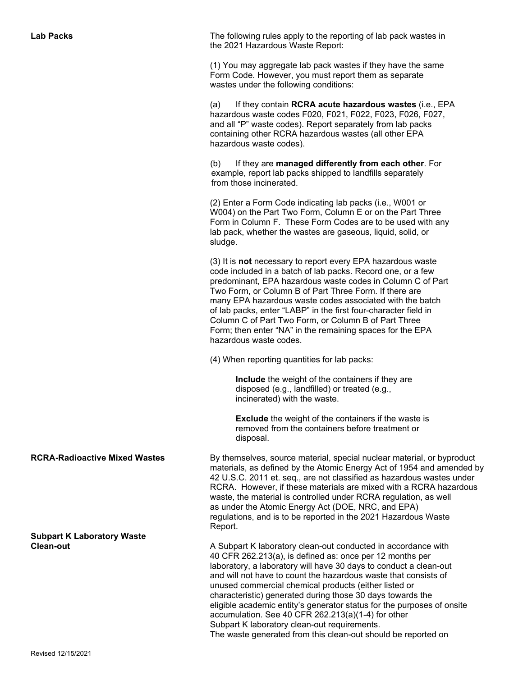**Lab Packs The following rules apply to the reporting of lab pack wastes in** the 2021 Hazardous Waste Report:

> (1) You may aggregate lab pack wastes if they have the same Form Code. However, you must report them as separate wastes under the following conditions:

(a) If they contain **RCRA acute hazardous wastes** (i.e., EPA hazardous waste codes F020, F021, F022, F023, F026, F027, and all "P" waste codes). Report separately from lab packs containing other RCRA hazardous wastes (all other EPA hazardous waste codes).

(b) If they are **managed differently from each other**. For example, report lab packs shipped to landfills separately from those incinerated.

(2) Enter a Form Code indicating lab packs (i.e., W001 or W004) on the Part Two Form, Column E or on the Part Three Form in Column F. These Form Codes are to be used with any lab pack, whether the wastes are gaseous, liquid, solid, or sludge.

(3) It is **not** necessary to report every EPA hazardous waste code included in a batch of lab packs. Record one, or a few predominant, EPA hazardous waste codes in Column C of Part Two Form, or Column B of Part Three Form. If there are many EPA hazardous waste codes associated with the batch of lab packs, enter "LABP" in the first four-character field in Column C of Part Two Form, or Column B of Part Three Form; then enter "NA" in the remaining spaces for the EPA hazardous waste codes.

(4) When reporting quantities for lab packs:

 **Include** the weight of the containers if they are disposed (e.g., landfilled) or treated (e.g., incinerated) with the waste.

 **Exclude** the weight of the containers if the waste is removed from the containers before treatment or disposal.

**RCRA-Radioactive Mixed Wastes** By themselves, source material, special nuclear material, or byproduct materials, as defined by the Atomic Energy Act of 1954 and amended by 42 U.S.C. 2011 et. seq., are not classified as hazardous wastes under RCRA. However, if these materials are mixed with a RCRA hazardous waste, the material is controlled under RCRA regulation, as well as under the Atomic Energy Act (DOE, NRC, and EPA) regulations, and is to be reported in the 2021 Hazardous Waste Report.

**Clean-out A** Subpart K laboratory clean-out conducted in accordance with 40 CFR 262.213(a), is defined as: once per 12 months per laboratory, a laboratory will have 30 days to conduct a clean-out and will not have to count the hazardous waste that consists of unused commercial chemical products (either listed or characteristic) generated during those 30 days towards the eligible academic entity's generator status for the purposes of onsite accumulation. See 40 CFR 262.213(a)(1-4) for other Subpart K laboratory clean-out requirements. The waste generated from this clean-out should be reported on

**Subpart K Laboratory Waste**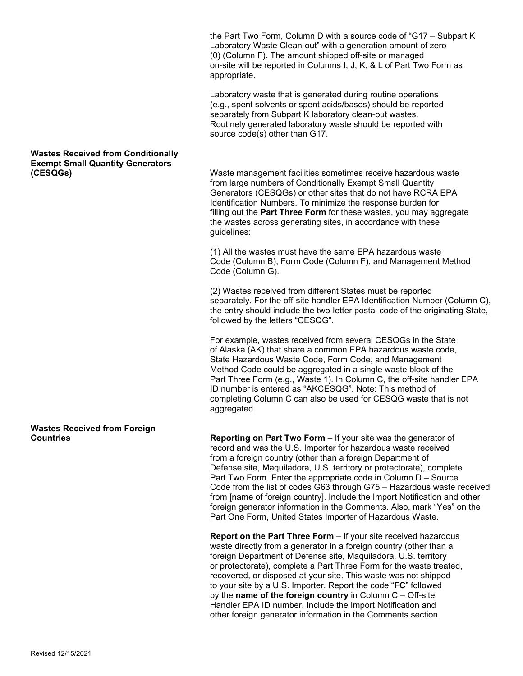the Part Two Form, Column D with a source code of "G17 – Subpart K Laboratory Waste Clean-out" with a generation amount of zero (0) (Column F). The amount shipped off-site or managed on-site will be reported in Columns I, J, K, & L of Part Two Form as appropriate.

Laboratory waste that is generated during routine operations (e.g., spent solvents or spent acids/bases) should be reported separately from Subpart K laboratory clean-out wastes. Routinely generated laboratory waste should be reported with source code(s) other than G17.

**(CESQGs)** Waste management facilities sometimes receive hazardous waste from large numbers of Conditionally Exempt Small Quantity Generators (CESQGs) or other sites that do not have RCRA EPA Identification Numbers. To minimize the response burden for filling out the **Part Three Form** for these wastes, you may aggregate the wastes across generating sites, in accordance with these guidelines:

> (1) All the wastes must have the same EPA hazardous waste Code (Column B), Form Code (Column F), and Management Method Code (Column G).

(2) Wastes received from different States must be reported separately. For the off-site handler EPA Identification Number (Column C), the entry should include the two-letter postal code of the originating State, followed by the letters "CESQG".

For example, wastes received from several CESQGs in the State of Alaska (AK) that share a common EPA hazardous waste code, State Hazardous Waste Code, Form Code, and Management Method Code could be aggregated in a single waste block of the Part Three Form (e.g., Waste 1). In Column C, the off-site handler EPA ID number is entered as "AKCESQG". Note: This method of completing Column C can also be used for CESQG waste that is not aggregated.

**Reporting on Part Two Form** – If your site was the generator of record and was the U.S. Importer for hazardous waste received from a foreign country (other than a foreign Department of Defense site, Maquiladora, U.S. territory or protectorate), complete Part Two Form. Enter the appropriate code in Column D – Source Code from the list of codes G63 through G75 – Hazardous waste received from [name of foreign country]. Include the Import Notification and other foreign generator information in the Comments. Also, mark "Yes" on the Part One Form, United States Importer of Hazardous Waste.

**Report on the Part Three Form** – If your site received hazardous waste directly from a generator in a foreign country (other than a foreign Department of Defense site, Maquiladora, U.S. territory or protectorate), complete a Part Three Form for the waste treated, recovered, or disposed at your site. This waste was not shipped to your site by a U.S. Importer. Report the code "**FC**" followed by the **name of the foreign country** in Column C – Off-site Handler EPA ID number. Include the Import Notification and other foreign generator information in the Comments section.

## **Wastes Received from Conditionally Exempt Small Quantity Generators**

**Wastes Received from Foreign**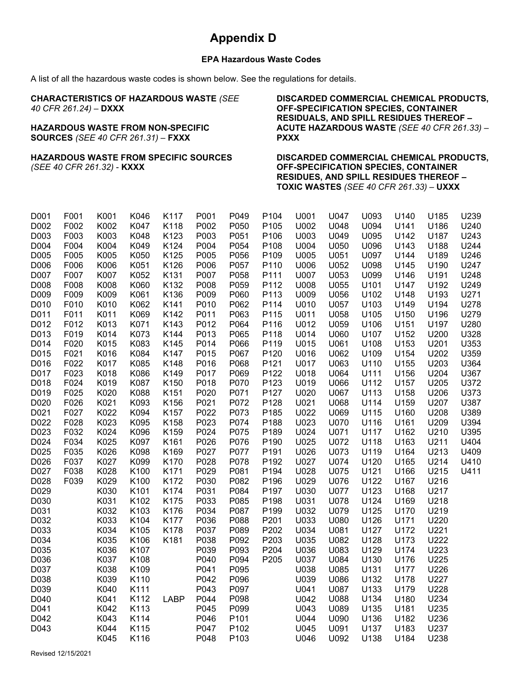# **Appendix D**

### **EPA Hazardous Waste Codes**

A list of all the hazardous waste codes is shown below. See the regulations for details.

| <b>CHARACTERISTICS OF HAZARDOUS WASTE (SEE</b><br>40 CFR 261.24) - DXXX<br><b>HAZARDOUS WASTE FROM NON-SPECIFIC</b><br><b>SOURCES (SEE 40 CFR 261.31) - FXXX</b> | DISCARDED COMMERCIAL CHEMICAL PRODUCTS,<br>OFF-SPECIFICATION SPECIES, CONTAINER<br><b>RESIDUALS, AND SPILL RESIDUES THEREOF -</b><br><b>ACUTE HAZARDOUS WASTE (SEE 40 CFR 261.33) -</b><br><b>PXXX</b> |
|------------------------------------------------------------------------------------------------------------------------------------------------------------------|--------------------------------------------------------------------------------------------------------------------------------------------------------------------------------------------------------|
| <b>HAZARDOUS WASTE FROM SPECIFIC SOURCES</b><br>(SEE 40 CFR 261.32) - <b>KXXX</b>                                                                                | <b>DISCARDED COMMERCIAL CHEMICAL PRODUCTS,</b><br>OFF-SPECIFICATION SPECIES, CONTAINER<br><b>RESIDUES, AND SPILL RESIDUES THEREOF -</b><br>TOXIC WASTES (SEE 40 CFR 261.33) - UXXX                     |

| D001<br>D002 | F001<br>F002 | K001<br>K002 | K046<br>K047 | K117<br>K118 | P001<br>P002 | P049<br>P050 | P104<br>P105 | U001<br>U002 | U047<br>U048 | U093<br>U094 | U140<br>U141 | U185<br>U186 | U239<br>U240 |
|--------------|--------------|--------------|--------------|--------------|--------------|--------------|--------------|--------------|--------------|--------------|--------------|--------------|--------------|
| D003         | F003         | K003         | K048         | K123         | P003         | P051         | P106         | U003         | U049         | U095         | U142         | U187         | U243         |
| D004         | F004         | K004         | K049         | K124         | P004         | P054         | P108         | U004         | U050         | U096         | U143         | U188         | U244         |
| D005         | F005         | K005         | K050         | K125         | P005         | P056         | P109         | U005         | U051         | U097         | U144         | U189         | U246         |
| D006         | F006         | K006         | K051         | K126         | P006         | P057         | P110         | U006         | U052         | U098         | U145         | U190         | U247         |
| D007         | F007         | K007         | K052         | K131         | P007         | P058         | P111         | U007         | U053         | U099         | U146         | U191         | U248         |
| D008         | F008         | K008         | K060         | K132         | P008         | P059         | P112         | U008         | U055         | U101         | U147         | U192         | U249         |
| D009         | F009         | K009         | K061         | K136         | P009         | P060         | P113         | U009         | U056         | U102         | U148         | U193         | U271         |
| D010         | F010         | K010         | K062         | K141         | P010         | P062         | P114         | U010         | U057         | U103         | U149         | U194         | U278         |
| D011         | F011         | K011         | K069         | K142         | P011         | P063         | P115         | U011         | U058         | U105         | U150         | U196         | U279         |
| D012         | F012         | K013         | K071         | K143         | P012         | P064         | P116         | U012         | U059         | U106         | U151         | U197         | U280         |
| D013         | F019         | K014         | K073         | K144         | P013         | P065         | P118         | U014         | U060         | U107         | U152         | U200         | U328         |
| D014         | F020         | K015         | K083         | K145         | P014         | P066         | P119         | U015         | U061         | U108         | U153         | U201         | U353         |
| D015         | F021         | K016         | K084         | K147         | P015         | P067         | P120         | U016         | U062         | U109         | U154         | U202         | U359         |
| D016         | F022         | K017         | K085         | K148         | P016         | P068         | P121         | U017         | U063         | U110         | U155         | U203         | U364         |
| D017         | F023         | K018         | K086         | K149         | P017         | P069         | P122         | U018         | U064         | U111         | U156         | U204         | U367         |
| D018         | F024         | K019         | K087         | K150         | P018         | P070         | P123         | U019         | U066         | U112         | U157         | U205         | U372         |
| D019         | F025         | K020         | K088         | K151         | P020         | P071         | P127         | U020         | U067         | U113         | U158         | U206         | U373         |
| D020         | F026         | K021         | K093         | K156         | P021         | P072         | P128         | U021         | U068         | U114         | U159         | U207         | U387         |
| D021         | F027         | K022         | K094         | K157         | P022         | P073         | P185         | U022         | U069         | U115         | U160         | U208         | U389         |
| D022         | F028         | K023         | K095         | K158         | P023         | P074         | P188         | U023         | U070         | U116         | U161         | U209         | U394         |
| D023         | F032         | K024         | K096         | K159         | P024         | P075         | P189         | U024         | U071         | U117         | U162         | U210         | U395         |
| D024         | F034         | K025         | K097         | K161         | P026         | P076         | P190         | U025         | U072         | U118         | U163         | U211         | U404         |
| D025         | F035         | K026         | K098         | K169         | P027         | P077         | P191         | U026         | U073         | U119         | U164         | U213         | U409         |
| D026         | F037         | K027         | K099         | K170         | P028         | P078         | P192         | U027         | U074         | U120         | U165         | U214         | U410         |
| D027         | F038         | K028         | K100         | K171         | P029         | P081         | P194         | U028         | U075         | U121         | U166         | U215         | U411         |
| D028         | F039         | K029         | K100         | K172         | P030         | P082         | P196         | U029         | U076         | U122         | U167         | U216         |              |
| D029         |              | K030         | K101         | K174         | P031         | P084         | P197         | U030         | <b>U077</b>  | U123         | U168         | U217         |              |
| D030         |              | K031         | K102         | K175         | P033         | P085         | P198         | U031         | U078         | U124         | U169         | U218         |              |
| D031         |              | K032         | K103         | K176         | P034         | P087         | P199         | U032         | U079         | U125         | U170         | U219         |              |
| D032         |              | K033         | K104         | K177         | P036         | P088         | P201         | U033         | U080         | U126         | U171         | U220         |              |
| D033         |              | K034         | K105         | K178         | P037         | P089         | P202         | U034         | U081         | U127         | U172         | U221         |              |
| D034         |              | K035         | K106         | K181         | P038         | P092         | P203         | U035         | U082         | U128         | U173         | U222         |              |
| D035         |              | K036         | K107         |              | P039         | P093         | P204         | U036         | U083         | U129         | U174         | U223         |              |
| D036         |              | K037         | K108         |              | P040         | P094         | P205         | U037         | U084         | U130         | U176         | U225         |              |
| D037         |              | K038         | K109         |              | P041         | P095         |              | U038         | U085         | U131         | U177         | U226         |              |
| D038         |              | K039         | K110         |              | P042         | P096         |              | U039         | U086         | U132         | U178         | U227         |              |
| D039         |              | K040         | K111         |              | P043         | P097         |              | U041         | U087         | U133         | U179         | U228         |              |
| D040         |              | K041         | K112         | <b>LABP</b>  | P044         | P098         |              | U042         | U088         | U134         | U180         | U234         |              |
| D041         |              | K042         | K113         |              | P045         | P099         |              | U043         | U089         | U135         | U181         | U235         |              |
| D042         |              | K043         | K114         |              | P046         | P101         |              | U044         | U090         | U136         | U182         | U236         |              |
| D043         |              | K044         | K115         |              | P047         | P102         |              | U045         | U091         | U137         | U183         | U237         |              |
|              |              | K045         | K116         |              | P048         | P103         |              | U046         | U092         | U138         | U184         | U238         |              |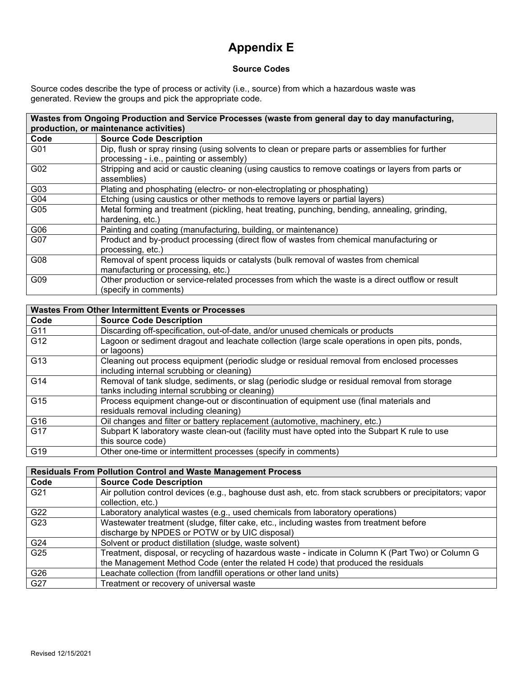# **Appendix E**

### **Source Codes**

Source codes describe the type of process or activity (i.e., source) from which a hazardous waste was generated. Review the groups and pick the appropriate code.

| Wastes from Ongoing Production and Service Processes (waste from general day to day manufacturing, |                                                                                                                                             |  |
|----------------------------------------------------------------------------------------------------|---------------------------------------------------------------------------------------------------------------------------------------------|--|
|                                                                                                    | production, or maintenance activities)                                                                                                      |  |
| Code                                                                                               | <b>Source Code Description</b>                                                                                                              |  |
| G01                                                                                                | Dip, flush or spray rinsing (using solvents to clean or prepare parts or assemblies for further<br>processing - i.e., painting or assembly) |  |
| G02                                                                                                | Stripping and acid or caustic cleaning (using caustics to remove coatings or layers from parts or<br>assemblies)                            |  |
| G03                                                                                                | Plating and phosphating (electro- or non-electroplating or phosphating)                                                                     |  |
| G04                                                                                                | Etching (using caustics or other methods to remove layers or partial layers)                                                                |  |
| G05                                                                                                | Metal forming and treatment (pickling, heat treating, punching, bending, annealing, grinding,<br>hardening, etc.)                           |  |
| G06                                                                                                | Painting and coating (manufacturing, building, or maintenance)                                                                              |  |
| G07                                                                                                | Product and by-product processing (direct flow of wastes from chemical manufacturing or<br>processing, etc.)                                |  |
| G08                                                                                                | Removal of spent process liquids or catalysts (bulk removal of wastes from chemical<br>manufacturing or processing, etc.)                   |  |
| G09                                                                                                | Other production or service-related processes from which the waste is a direct outflow or result<br>(specify in comments)                   |  |

| <b>Wastes From Other Intermittent Events or Processes</b> |                                                                                                                                                 |  |  |
|-----------------------------------------------------------|-------------------------------------------------------------------------------------------------------------------------------------------------|--|--|
| Code                                                      | <b>Source Code Description</b>                                                                                                                  |  |  |
| G11                                                       | Discarding off-specification, out-of-date, and/or unused chemicals or products                                                                  |  |  |
| G12                                                       | Lagoon or sediment dragout and leachate collection (large scale operations in open pits, ponds,<br>or lagoons)                                  |  |  |
| G13                                                       | Cleaning out process equipment (periodic sludge or residual removal from enclosed processes<br>including internal scrubbing or cleaning)        |  |  |
| G14                                                       | Removal of tank sludge, sediments, or slag (periodic sludge or residual removal from storage<br>tanks including internal scrubbing or cleaning) |  |  |
| G15                                                       | Process equipment change-out or discontinuation of equipment use (final materials and<br>residuals removal including cleaning)                  |  |  |
| G16                                                       | Oil changes and filter or battery replacement (automotive, machinery, etc.)                                                                     |  |  |
| G17                                                       | Subpart K laboratory waste clean-out (facility must have opted into the Subpart K rule to use<br>this source code)                              |  |  |
| G19                                                       | Other one-time or intermittent processes (specify in comments)                                                                                  |  |  |

| <b>Residuals From Pollution Control and Waste Management Process</b> |                                                                                                                                |  |
|----------------------------------------------------------------------|--------------------------------------------------------------------------------------------------------------------------------|--|
| Code                                                                 | <b>Source Code Description</b>                                                                                                 |  |
| G21                                                                  | Air pollution control devices (e.g., baghouse dust ash, etc. from stack scrubbers or precipitators; vapor<br>collection, etc.) |  |
| G22                                                                  | Laboratory analytical wastes (e.g., used chemicals from laboratory operations)                                                 |  |
| G <sub>23</sub>                                                      | Wastewater treatment (sludge, filter cake, etc., including wastes from treatment before                                        |  |
|                                                                      | discharge by NPDES or POTW or by UIC disposal)                                                                                 |  |
| G24                                                                  | Solvent or product distillation (sludge, waste solvent)                                                                        |  |
| G <sub>25</sub>                                                      | Treatment, disposal, or recycling of hazardous waste - indicate in Column K (Part Two) or Column G                             |  |
|                                                                      | the Management Method Code (enter the related H code) that produced the residuals                                              |  |
| G26                                                                  | Leachate collection (from landfill operations or other land units)                                                             |  |
| G27                                                                  | Treatment or recovery of universal waste                                                                                       |  |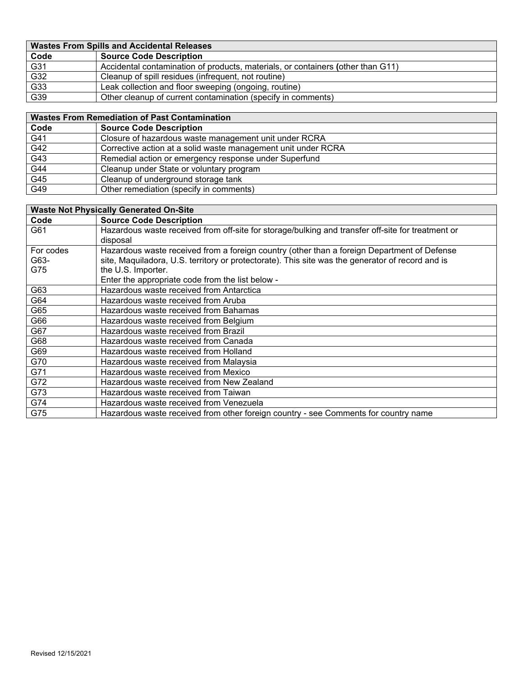| <b>Wastes From Spills and Accidental Releases</b> |                                                                                 |  |  |
|---------------------------------------------------|---------------------------------------------------------------------------------|--|--|
| Code                                              | <b>Source Code Description</b>                                                  |  |  |
| G31                                               | Accidental contamination of products, materials, or containers (other than G11) |  |  |
| G32                                               | Cleanup of spill residues (infrequent, not routine)                             |  |  |
| $\overline{G33}$                                  | Leak collection and floor sweeping (ongoing, routine)                           |  |  |
| G39                                               | Other cleanup of current contamination (specify in comments)                    |  |  |

| <b>Wastes From Remediation of Past Contamination</b> |                                                               |  |
|------------------------------------------------------|---------------------------------------------------------------|--|
| Code                                                 | <b>Source Code Description</b>                                |  |
| G41                                                  | Closure of hazardous waste management unit under RCRA         |  |
| G42                                                  | Corrective action at a solid waste management unit under RCRA |  |
| G43                                                  | Remedial action or emergency response under Superfund         |  |
| G44                                                  | Cleanup under State or voluntary program                      |  |
| G45                                                  | Cleanup of underground storage tank                           |  |
| G49                                                  | Other remediation (specify in comments)                       |  |

|           | <b>Waste Not Physically Generated On-Site</b>                                                     |
|-----------|---------------------------------------------------------------------------------------------------|
| Code      | <b>Source Code Description</b>                                                                    |
| G61       | Hazardous waste received from off-site for storage/bulking and transfer off-site for treatment or |
|           | disposal                                                                                          |
| For codes | Hazardous waste received from a foreign country (other than a foreign Department of Defense       |
| G63-      | site, Maquiladora, U.S. territory or protectorate). This site was the generator of record and is  |
| G75       | the U.S. Importer.                                                                                |
|           | Enter the appropriate code from the list below -                                                  |
| G63       | Hazardous waste received from Antarctica                                                          |
| G64       | Hazardous waste received from Aruba                                                               |
| G65       | Hazardous waste received from Bahamas                                                             |
| G66       | Hazardous waste received from Belgium                                                             |
| G67       | Hazardous waste received from Brazil                                                              |
| G68       | Hazardous waste received from Canada                                                              |
| G69       | Hazardous waste received from Holland                                                             |
| G70       | Hazardous waste received from Malaysia                                                            |
| G71       | Hazardous waste received from Mexico                                                              |
| G72       | Hazardous waste received from New Zealand                                                         |
| G73       | Hazardous waste received from Taiwan                                                              |
| G74       | Hazardous waste received from Venezuela                                                           |
| G75       | Hazardous waste received from other foreign country - see Comments for country name               |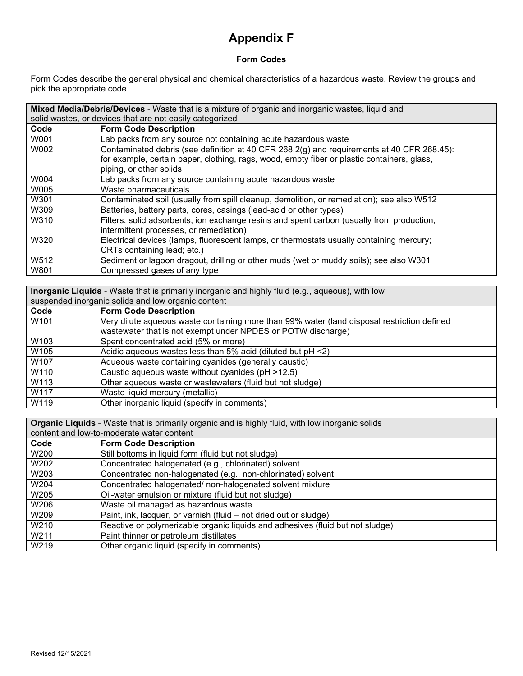# **Appendix F**

### **Form Codes**

Form Codes describe the general physical and chemical characteristics of a hazardous waste. Review the groups and pick the appropriate code.

|      | Mixed Media/Debris/Devices - Waste that is a mixture of organic and inorganic wastes, liquid and |  |  |  |  |
|------|--------------------------------------------------------------------------------------------------|--|--|--|--|
|      | solid wastes, or devices that are not easily categorized                                         |  |  |  |  |
| Code | <b>Form Code Description</b>                                                                     |  |  |  |  |
| W001 | Lab packs from any source not containing acute hazardous waste                                   |  |  |  |  |
| W002 | Contaminated debris (see definition at 40 CFR 268.2(g) and requirements at 40 CFR 268.45):       |  |  |  |  |
|      | for example, certain paper, clothing, rags, wood, empty fiber or plastic containers, glass,      |  |  |  |  |
|      | piping, or other solids                                                                          |  |  |  |  |
| W004 | Lab packs from any source containing acute hazardous waste                                       |  |  |  |  |
| W005 | Waste pharmaceuticals                                                                            |  |  |  |  |
| W301 | Contaminated soil (usually from spill cleanup, demolition, or remediation); see also W512        |  |  |  |  |
| W309 | Batteries, battery parts, cores, casings (lead-acid or other types)                              |  |  |  |  |
| W310 | Filters, solid adsorbents, ion exchange resins and spent carbon (usually from production,        |  |  |  |  |
|      | intermittent processes, or remediation)                                                          |  |  |  |  |
| W320 | Electrical devices (lamps, fluorescent lamps, or thermostats usually containing mercury;         |  |  |  |  |
|      | CRTs containing lead; etc.)                                                                      |  |  |  |  |
| W512 | Sediment or lagoon dragout, drilling or other muds (wet or muddy soils); see also W301           |  |  |  |  |
| W801 | Compressed gases of any type                                                                     |  |  |  |  |

| <b>Inorganic Liquids</b> - Waste that is primarily inorganic and highly fluid (e.g., aqueous), with low |                                                                                             |
|---------------------------------------------------------------------------------------------------------|---------------------------------------------------------------------------------------------|
| suspended inorganic solids and low organic content                                                      |                                                                                             |
| Code                                                                                                    | <b>Form Code Description</b>                                                                |
| W <sub>101</sub>                                                                                        | Very dilute aqueous waste containing more than 99% water (land disposal restriction defined |
|                                                                                                         | wastewater that is not exempt under NPDES or POTW discharge)                                |
| W103                                                                                                    | Spent concentrated acid (5% or more)                                                        |
| W105                                                                                                    | Acidic aqueous wastes less than 5% acid (diluted but pH <2)                                 |
| W107                                                                                                    | Aqueous waste containing cyanides (generally caustic)                                       |
| W110                                                                                                    | Caustic aqueous waste without cyanides (pH >12.5)                                           |
| W113                                                                                                    | Other aqueous waste or wastewaters (fluid but not sludge)                                   |
| W117                                                                                                    | Waste liquid mercury (metallic)                                                             |
| W119                                                                                                    | Other inorganic liquid (specify in comments)                                                |

**Organic Liquids** - Waste that is primarily organic and is highly fluid, with low inorganic solids

| content and low-to-moderate water content |                                                                                |
|-------------------------------------------|--------------------------------------------------------------------------------|
| Code                                      | <b>Form Code Description</b>                                                   |
| W200                                      | Still bottoms in liquid form (fluid but not sludge)                            |
| W202                                      | Concentrated halogenated (e.g., chlorinated) solvent                           |
| W <sub>203</sub>                          | Concentrated non-halogenated (e.g., non-chlorinated) solvent                   |
| W204                                      | Concentrated halogenated/non-halogenated solvent mixture                       |
| W205                                      | Oil-water emulsion or mixture (fluid but not sludge)                           |
| W206                                      | Waste oil managed as hazardous waste                                           |
| W <sub>209</sub>                          | Paint, ink, lacquer, or varnish (fluid – not dried out or sludge)              |
| W <sub>210</sub>                          | Reactive or polymerizable organic liquids and adhesives (fluid but not sludge) |
| W211                                      | Paint thinner or petroleum distillates                                         |
| W219                                      | Other organic liquid (specify in comments)                                     |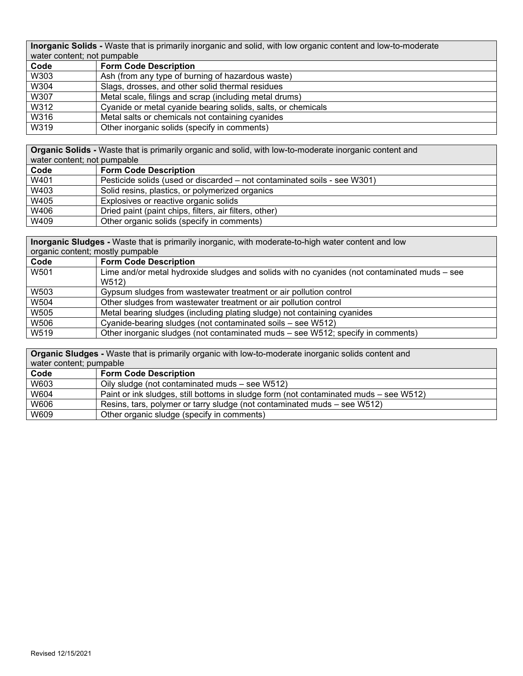**Inorganic Solids -** Waste that is primarily inorganic and solid, with low organic content and low-to-moderate water content; not pumpable

| water content, not painpable |                                                              |
|------------------------------|--------------------------------------------------------------|
| Code                         | <b>Form Code Description</b>                                 |
| W303                         | Ash (from any type of burning of hazardous waste)            |
| W304                         | Slags, drosses, and other solid thermal residues             |
| W307                         | Metal scale, filings and scrap (including metal drums)       |
| W312                         | Cyanide or metal cyanide bearing solids, salts, or chemicals |
| W316                         | Metal salts or chemicals not containing cyanides             |
| W319                         | Other inorganic solids (specify in comments)                 |

**Organic Solids -** Waste that is primarily organic and solid, with low-to-moderate inorganic content and water content; not pumpable

| water content, not pumpable |                                                                          |
|-----------------------------|--------------------------------------------------------------------------|
| Code                        | <b>Form Code Description</b>                                             |
| W401                        | Pesticide solids (used or discarded – not contaminated soils - see W301) |
| W403                        | Solid resins, plastics, or polymerized organics                          |
| W405                        | Explosives or reactive organic solids                                    |
| W406                        | Dried paint (paint chips, filters, air filters, other)                   |
| W409                        | Other organic solids (specify in comments)                               |

**Inorganic Sludges -** Waste that is primarily inorganic, with moderate-to-high water content and low <u>oric content; mostly pumpable</u>

| <u>organic content, mostry pumpable</u> |                                                                                              |
|-----------------------------------------|----------------------------------------------------------------------------------------------|
| Code                                    | <b>Form Code Description</b>                                                                 |
| W501                                    | Lime and/or metal hydroxide sludges and solids with no cyanides (not contaminated muds – see |
|                                         | W512)                                                                                        |
| W503                                    | Gypsum sludges from wastewater treatment or air pollution control                            |
| W504                                    | Other sludges from wastewater treatment or air pollution control                             |
| W505                                    | Metal bearing sludges (including plating sludge) not containing cyanides                     |
| W506                                    | Cyanide-bearing sludges (not contaminated soils - see W512)                                  |
| W519                                    | Other inorganic sludges (not contaminated muds – see W512; specify in comments)              |

**Organic Sludges -** Waste that is primarily organic with low-to-moderate inorganic solids content and water content; pumpable

| <i>NGC</i> , content, painpapic |                                                                                       |
|---------------------------------|---------------------------------------------------------------------------------------|
| Code                            | <b>Form Code Description</b>                                                          |
| W603                            | Oily sludge (not contaminated muds – see W512)                                        |
| W604                            | Paint or ink sludges, still bottoms in sludge form (not contaminated muds – see W512) |
| W606                            | Resins, tars, polymer or tarry sludge (not contaminated muds – see W512)              |
| W609                            | Other organic sludge (specify in comments)                                            |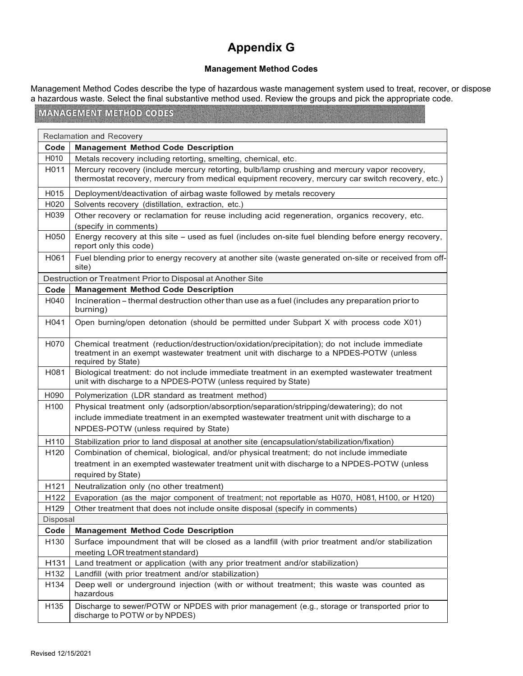# **Appendix G**

#### **Management Method Codes**

Management Method Codes describe the type of hazardous waste management system used to treat, recover, or dispose a hazardous waste. Select the final substantive method used. Review the groups and pick the appropriate code.

## **MANAGEMENT METHOD CODES**

|                   | Reclamation and Recovery                                                                                                                                                                                      |  |
|-------------------|---------------------------------------------------------------------------------------------------------------------------------------------------------------------------------------------------------------|--|
| Code              | <b>Management Method Code Description</b>                                                                                                                                                                     |  |
| H010              | Metals recovery including retorting, smelting, chemical, etc.                                                                                                                                                 |  |
| H011              | Mercury recovery (include mercury retorting, bulb/lamp crushing and mercury vapor recovery,<br>thermostat recovery, mercury from medical equipment recovery, mercury car switch recovery, etc.)               |  |
| H015              | Deployment/deactivation of airbag waste followed by metals recovery                                                                                                                                           |  |
| H <sub>020</sub>  | Solvents recovery (distillation, extraction, etc.)                                                                                                                                                            |  |
| H <sub>0</sub> 39 | Other recovery or reclamation for reuse including acid regeneration, organics recovery, etc.<br>(specify in comments)                                                                                         |  |
| H050              | Energy recovery at this site - used as fuel (includes on-site fuel blending before energy recovery,<br>report only this code)                                                                                 |  |
| H061              | Fuel blending prior to energy recovery at another site (waste generated on-site or received from off-<br>site)                                                                                                |  |
|                   | Destruction or Treatment Prior to Disposal at Another Site                                                                                                                                                    |  |
| Code              | <b>Management Method Code Description</b>                                                                                                                                                                     |  |
| H040              | Incineration - thermal destruction other than use as a fuel (includes any preparation prior to<br>burning)                                                                                                    |  |
| H041              | Open burning/open detonation (should be permitted under Subpart X with process code X01)                                                                                                                      |  |
| H070              | Chemical treatment (reduction/destruction/oxidation/precipitation); do not include immediate<br>treatment in an exempt wastewater treatment unit with discharge to a NPDES-POTW (unless<br>required by State) |  |
| H081              | Biological treatment: do not include immediate treatment in an exempted wastewater treatment<br>unit with discharge to a NPDES-POTW (unless required by State)                                                |  |
| H090              | Polymerization (LDR standard as treatment method)                                                                                                                                                             |  |
| H100              | Physical treatment only (adsorption/absorption/separation/stripping/dewatering); do not                                                                                                                       |  |
|                   | include immediate treatment in an exempted wastewater treatment unit with discharge to a                                                                                                                      |  |
|                   | NPDES-POTW (unless required by State)                                                                                                                                                                         |  |
| H <sub>110</sub>  | Stabilization prior to land disposal at another site (encapsulation/stabilization/fixation)                                                                                                                   |  |
| H <sub>120</sub>  | Combination of chemical, biological, and/or physical treatment; do not include immediate                                                                                                                      |  |
|                   | treatment in an exempted wastewater treatment unit with discharge to a NPDES-POTW (unless<br>required by State)                                                                                               |  |
| H <sub>121</sub>  | Neutralization only (no other treatment)                                                                                                                                                                      |  |
| H <sub>122</sub>  | Evaporation (as the major component of treatment; not reportable as H070, H081, H100, or H120)                                                                                                                |  |
| H <sub>129</sub>  | Other treatment that does not include onsite disposal (specify in comments)                                                                                                                                   |  |
| Disposal          |                                                                                                                                                                                                               |  |
| Code              | <b>Management Method Code Description</b>                                                                                                                                                                     |  |
| H130              | Surface impoundment that will be closed as a landfill (with prior treatment and/or stabilization                                                                                                              |  |
|                   | meeting LOR treatment standard)                                                                                                                                                                               |  |
| H <sub>131</sub>  | Land treatment or application (with any prior treatment and/or stabilization)                                                                                                                                 |  |
| H <sub>132</sub>  | Landfill (with prior treatment and/or stabilization)                                                                                                                                                          |  |
| H <sub>134</sub>  | Deep well or underground injection (with or without treatment; this waste was counted as<br>hazardous                                                                                                         |  |
| H135              | Discharge to sewer/POTW or NPDES with prior management (e.g., storage or transported prior to<br>discharge to POTW or by NPDES)                                                                               |  |